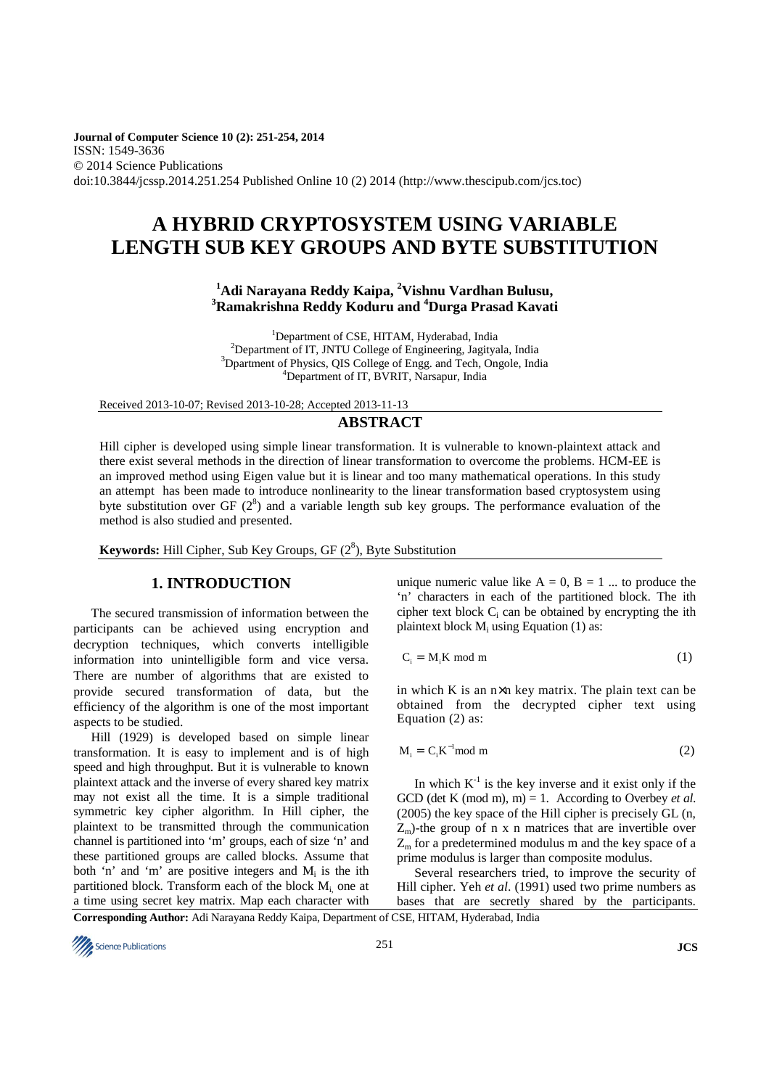**Journal of Computer Science 10 (2): 251-254, 2014**  ISSN: 1549-3636 © 2014 Science Publications doi:10.3844/jcssp.2014.251.254 Published Online 10 (2) 2014 (http://www.thescipub.com/jcs.toc)

# **A HYBRID CRYPTOSYSTEM USING VARIABLE LENGTH SUB KEY GROUPS AND BYTE SUBSTITUTION**

**<sup>1</sup>Adi Narayana Reddy Kaipa, <sup>2</sup>Vishnu Vardhan Bulusu, <sup>3</sup>Ramakrishna Reddy Koduru and <sup>4</sup>Durga Prasad Kavati** 

<sup>1</sup>Department of CSE, HITAM, Hyderabad, India <sup>2</sup>Department of IT, JNTU College of Engineering, Jagityala, India <sup>3</sup>Dpartment of Physics, QIS College of Engg. and Tech, Ongole, India <sup>4</sup>Department of IT, BVRIT, Narsapur, India

Received 2013-10-07; Revised 2013-10-28; Accepted 2013-11-13

## **ABSTRACT**

Hill cipher is developed using simple linear transformation. It is vulnerable to known-plaintext attack and there exist several methods in the direction of linear transformation to overcome the problems. HCM-EE is an improved method using Eigen value but it is linear and too many mathematical operations. In this study an attempt has been made to introduce nonlinearity to the linear transformation based cryptosystem using byte substitution over GF  $(2^8)$  and a variable length sub key groups. The performance evaluation of the method is also studied and presented.

**Keywords:** Hill Cipher, Sub Key Groups, GF (2<sup>8</sup>), Byte Substitution

## **1. INTRODUCTION**

The secured transmission of information between the participants can be achieved using encryption and decryption techniques, which converts intelligible information into unintelligible form and vice versa. There are number of algorithms that are existed to provide secured transformation of data, but the efficiency of the algorithm is one of the most important aspects to be studied.

Hill (1929) is developed based on simple linear transformation. It is easy to implement and is of high speed and high throughput. But it is vulnerable to known plaintext attack and the inverse of every shared key matrix may not exist all the time. It is a simple traditional symmetric key cipher algorithm. In Hill cipher, the plaintext to be transmitted through the communication channel is partitioned into 'm' groups, each of size 'n' and these partitioned groups are called blocks. Assume that both 'n' and 'm' are positive integers and  $M_i$  is the ith partitioned block. Transform each of the block  $M_i$  one at a time using secret key matrix. Map each character with

unique numeric value like  $A = 0$ ,  $B = 1$  ... to produce the 'n' characters in each of the partitioned block. The ith cipher text block  $C_i$  can be obtained by encrypting the ith plaintext block  $M_i$  using Equation (1) as:

$$
C_i = M_i K \text{ mod } m \tag{1}
$$

in which K is an  $n \times n$  key matrix. The plain text can be obtained from the decrypted cipher text using Equation (2) as:

$$
M_i = C_i K^{-1} \text{mod } m \tag{2}
$$

In which  $K^{-1}$  is the key inverse and it exist only if the GCD (det K (mod m),  $m$ ) = 1. According to Overbey *et al.* (2005) the key space of the Hill cipher is precisely GL (n,  $Z<sub>m</sub>$ )-the group of n x n matrices that are invertible over  $Z<sub>m</sub>$  for a predetermined modulus m and the key space of a prime modulus is larger than composite modulus.

Several researchers tried, to improve the security of Hill cipher. Yeh *et al*. (1991) used two prime numbers as bases that are secretly shared by the participants.

**Corresponding Author:** Adi Narayana Reddy Kaipa, Department of CSE, HITAM, Hyderabad, India

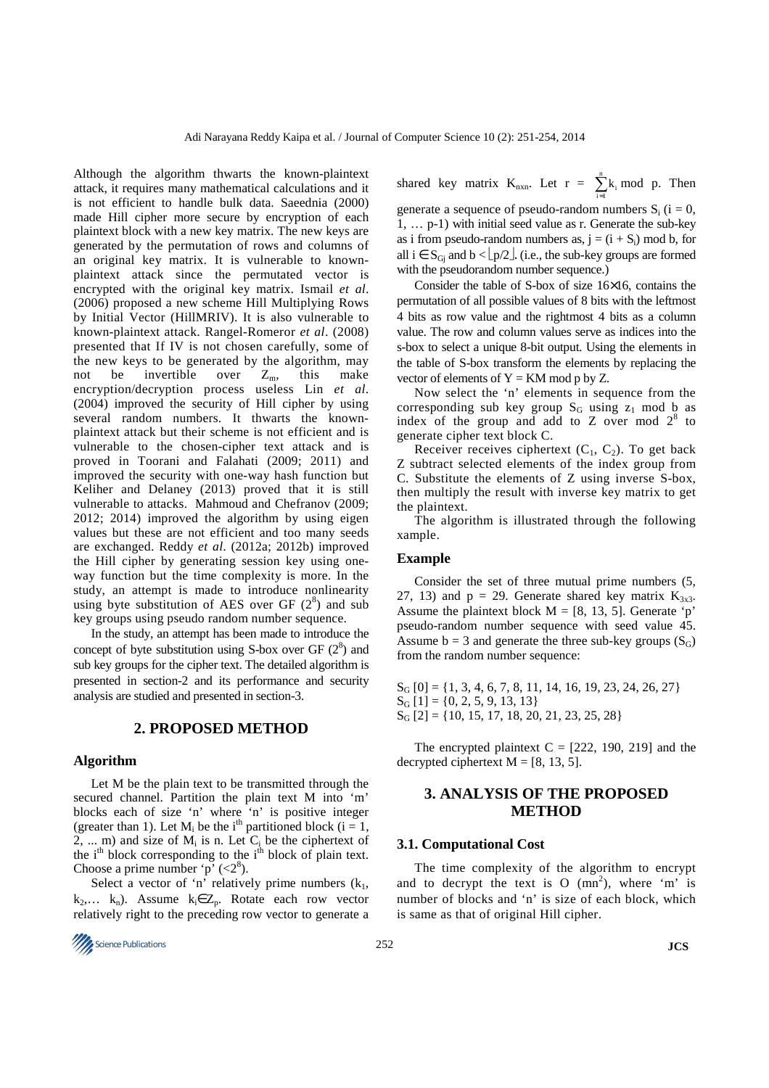Although the algorithm thwarts the known-plaintext attack, it requires many mathematical calculations and it is not efficient to handle bulk data. Saeednia (2000) made Hill cipher more secure by encryption of each plaintext block with a new key matrix. The new keys are generated by the permutation of rows and columns of an original key matrix. It is vulnerable to knownplaintext attack since the permutated vector is encrypted with the original key matrix. Ismail *et al*. (2006) proposed a new scheme Hill Multiplying Rows by Initial Vector (HillMRIV). It is also vulnerable to known-plaintext attack. Rangel-Romeror *et al*. (2008) presented that If IV is not chosen carefully, some of the new keys to be generated by the algorithm, may not be invertible over  $Z_m$ , this make encryption/decryption process useless Lin *et al*. (2004) improved the security of Hill cipher by using several random numbers. It thwarts the knownplaintext attack but their scheme is not efficient and is vulnerable to the chosen-cipher text attack and is proved in Toorani and Falahati (2009; 2011) and improved the security with one-way hash function but Keliher and Delaney (2013) proved that it is still vulnerable to attacks. Mahmoud and Chefranov (2009; 2012; 2014) improved the algorithm by using eigen values but these are not efficient and too many seeds are exchanged. Reddy *et al*. (2012a; 2012b) improved the Hill cipher by generating session key using oneway function but the time complexity is more. In the study, an attempt is made to introduce nonlinearity using byte substitution of AES over GF  $(2^8)$  and sub key groups using pseudo random number sequence.

In the study, an attempt has been made to introduce the concept of byte substitution using S-box over GF  $(2^8)$  and sub key groups for the cipher text. The detailed algorithm is presented in section-2 and its performance and security analysis are studied and presented in section-3.

## **2. PROPOSED METHOD**

#### **Algorithm**

Let M be the plain text to be transmitted through the secured channel. Partition the plain text M into 'm' blocks each of size 'n' where 'n' is positive integer (greater than 1). Let  $M_i$  be the i<sup>th</sup> partitioned block (i = 1, 2, ... m) and size of  $M_i$  is n. Let  $C_i$  be the ciphertext of the  $i<sup>th</sup>$  block corresponding to the  $i<sup>th</sup>$  block of plain text. Choose a prime number 'p'  $\langle 2^8 \rangle$ .

Select a vector of 'n' relatively prime numbers  $(k_1,$ k<sub>2</sub>,... k<sub>n</sub>). Assume k<sub>i</sub>∈ Z<sub>p</sub>. Rotate each row vector relatively right to the preceding row vector to generate a

$$
\frac{252}{252}
$$
 JCS

shared key matrix  $K_{nxn}$ . Let  $r = \sum_{n=1}^{n}$  $\sum_{i=1}^{n} k_i \mod p$ . Then

generate a sequence of pseudo-random numbers  $S_i$  ( $i = 0$ , 1, … p-1) with initial seed value as r. Generate the sub-key as i from pseudo-random numbers as,  $j = (i + S_i) \text{ mod } b$ , for all  $i \in S_G$  and  $b < \lfloor p/2 \rfloor$ . (i.e., the sub-key groups are formed with the pseudorandom number sequence.)

Consider the table of S-box of size 16×16, contains the permutation of all possible values of 8 bits with the leftmost 4 bits as row value and the rightmost 4 bits as a column value. The row and column values serve as indices into the s-box to select a unique 8-bit output. Using the elements in the table of S-box transform the elements by replacing the vector of elements of  $Y = KM \mod p$  by Z.

Now select the 'n' elements in sequence from the corresponding sub key group  $S_G$  using  $z_1$  mod b as index of the group and add to  $Z$  over mod  $2^8$  to generate cipher text block C.

Receiver receives ciphertext  $(C_1, C_2)$ . To get back Z subtract selected elements of the index group from C. Substitute the elements of Z using inverse S-box, then multiply the result with inverse key matrix to get the plaintext.

The algorithm is illustrated through the following xample.

## **Example**

Consider the set of three mutual prime numbers (5, 27, 13) and  $p = 29$ . Generate shared key matrix  $K_{3x3}$ . Assume the plaintext block  $M = [8, 13, 5]$ . Generate 'p' pseudo-random number sequence with seed value 45. Assume  $b = 3$  and generate the three sub-key groups  $(S_G)$ from the random number sequence:

 $S_G [0] = \{1, 3, 4, 6, 7, 8, 11, 14, 16, 19, 23, 24, 26, 27\}$  $S_G$  [1] = {0, 2, 5, 9, 13, 13}  $S_G [2] = \{10, 15, 17, 18, 20, 21, 23, 25, 28\}$ 

The encrypted plaintext  $C = [222, 190, 219]$  and the decrypted ciphertext  $M = [8, 13, 5]$ .

# **3. ANALYSIS OF THE PROPOSED METHOD**

#### **3.1. Computational Cost**

The time complexity of the algorithm to encrypt and to decrypt the text is O  $(mn^2)$ , where 'm' is number of blocks and 'n' is size of each block, which is same as that of original Hill cipher.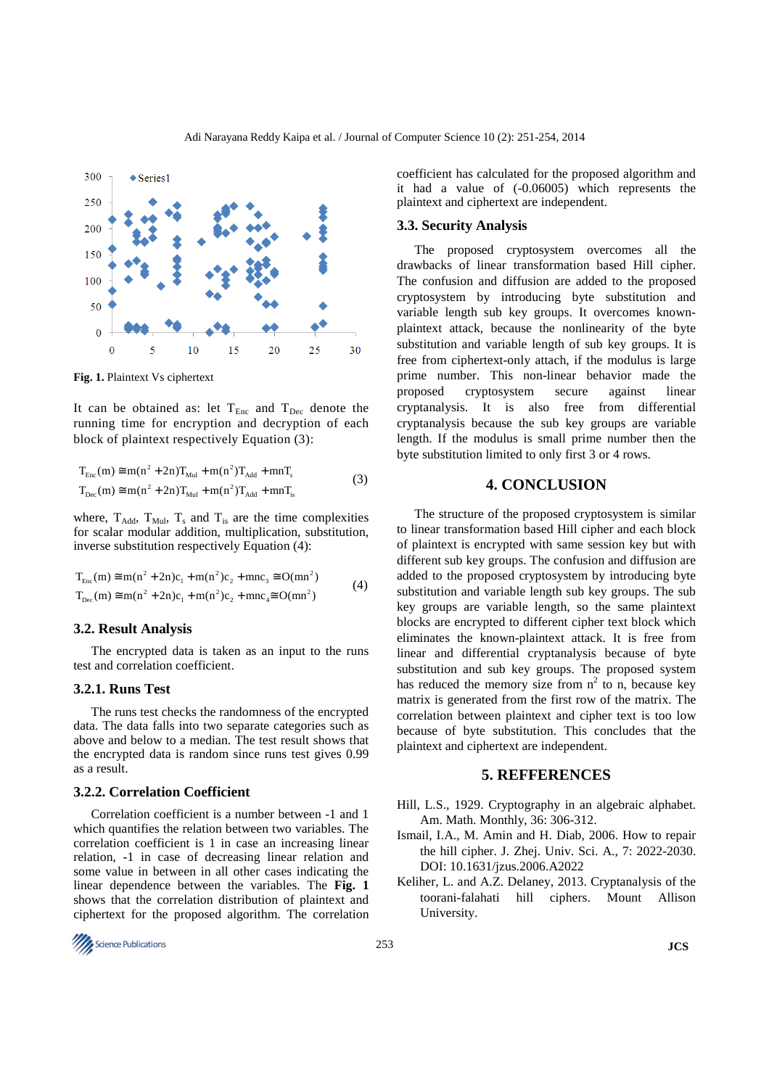

**Fig. 1.** Plaintext Vs ciphertext

It can be obtained as: let  $T_{Enc}$  and  $T_{Dec}$  denote the running time for encryption and decryption of each block of plaintext respectively Equation (3):

$$
T_{Enc}(m) \cong m(n^{2} + 2n)T_{Mul} + m(n^{2})T_{Add} + mnT_{s}
$$
  
\n
$$
T_{Dec}(m) \cong m(n^{2} + 2n)T_{Mul} + m(n^{2})T_{Add} + mnT_{s}
$$
\n(3)

where,  $T_{\text{Add}}$ ,  $T_{\text{Mul}}$ ,  $T_s$  and  $T_{\text{is}}$  are the time complexities for scalar modular addition, multiplication, substitution, inverse substitution respectively Equation (4):

$$
T_{Enc}(m) \cong m(n^2 + 2n)c_1 + m(n^2)c_2 + mnc_3 \cong O(mn^2)
$$
  
\n
$$
T_{Dec}(m) \cong m(n^2 + 2n)c_1 + m(n^2)c_2 + mnc_4 \cong O(mn^2)
$$
\n(4)

#### **3.2. Result Analysis**

The encrypted data is taken as an input to the runs test and correlation coefficient.

# **3.2.1. Runs Test**

The runs test checks the randomness of the encrypted data. The data falls into two separate categories such as above and below to a median. The test result shows that the encrypted data is random since runs test gives 0.99 as a result.

#### **3.2.2. Correlation Coefficient**

Correlation coefficient is a number between -1 and 1 which quantifies the relation between two variables. The correlation coefficient is 1 in case an increasing linear relation, -1 in case of decreasing linear relation and some value in between in all other cases indicating the linear dependence between the variables. The **Fig. 1** shows that the correlation distribution of plaintext and ciphertext for the proposed algorithm. The correlation coefficient has calculated for the proposed algorithm and it had a value of (-0.06005) which represents the plaintext and ciphertext are independent.

## **3.3. Security Analysis**

The proposed cryptosystem overcomes all the drawbacks of linear transformation based Hill cipher. The confusion and diffusion are added to the proposed cryptosystem by introducing byte substitution and variable length sub key groups. It overcomes knownplaintext attack, because the nonlinearity of the byte substitution and variable length of sub key groups. It is free from ciphertext-only attach, if the modulus is large prime number. This non-linear behavior made the proposed cryptosystem secure against linear cryptanalysis. It is also free from differential cryptanalysis because the sub key groups are variable length. If the modulus is small prime number then the byte substitution limited to only first 3 or 4 rows.

### **4. CONCLUSION**

The structure of the proposed cryptosystem is similar to linear transformation based Hill cipher and each block of plaintext is encrypted with same session key but with different sub key groups. The confusion and diffusion are added to the proposed cryptosystem by introducing byte substitution and variable length sub key groups. The sub key groups are variable length, so the same plaintext blocks are encrypted to different cipher text block which eliminates the known-plaintext attack. It is free from linear and differential cryptanalysis because of byte substitution and sub key groups. The proposed system has reduced the memory size from  $n^2$  to n, because key matrix is generated from the first row of the matrix. The correlation between plaintext and cipher text is too low because of byte substitution. This concludes that the plaintext and ciphertext are independent.

#### **5. REFFERENCES**

- Hill, L.S., 1929. Cryptography in an algebraic alphabet. Am. Math. Monthly, 36: 306-312.
- Ismail, I.A., M. Amin and H. Diab, 2006. How to repair the hill cipher. J. Zhej. Univ. Sci. A., 7: 2022-2030. DOI: 10.1631/jzus.2006.A2022
- Keliher, L. and A.Z. Delaney, 2013. Cryptanalysis of the toorani-falahati hill ciphers. Mount Allison University.